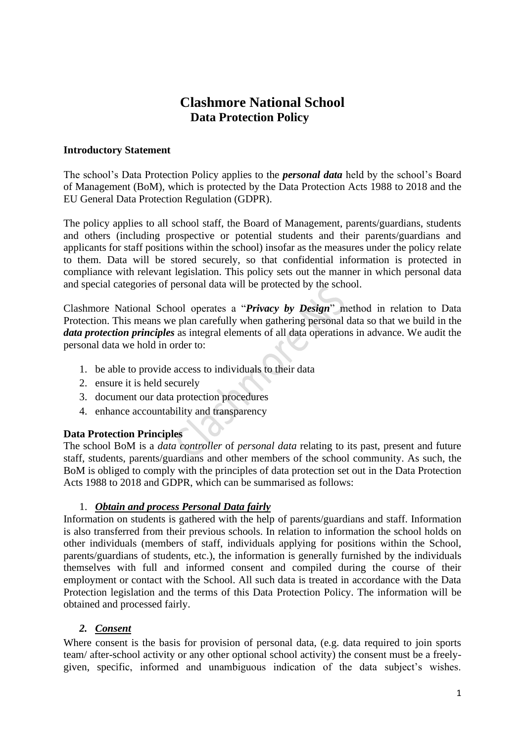# **Clashmore National School Data Protection Policy**

#### **Introductory Statement**

The school's Data Protection Policy applies to the *personal data* held by the school's Board of Management (BoM), which is protected by the Data Protection Acts 1988 to 2018 and the EU General Data Protection Regulation (GDPR).

The policy applies to all school staff, the Board of Management, parents/guardians, students and others (including prospective or potential students and their parents/guardians and applicants for staff positions within the school) insofar as the measures under the policy relate to them. Data will be stored securely, so that confidential information is protected in compliance with relevant legislation. This policy sets out the manner in which personal data and special categories of personal data will be protected by the school.

Clashmore National School operates a "*Privacy by Design*" method in relation to Data Protection. This means we plan carefully when gathering personal data so that we build in the *data protection principles* as integral elements of all data operations in advance. We audit the personal data we hold in order to:

- 1. be able to provide access to individuals to their data
- 2. ensure it is held securely
- 3. document our data protection procedures
- 4. enhance accountability and transparency

### **Data Protection Principles**

The school BoM is a *data controller* of *personal data* relating to its past, present and future staff, students, parents/guardians and other members of the school community. As such, the BoM is obliged to comply with the principles of data protection set out in the Data Protection Acts 1988 to 2018 and GDPR, which can be summarised as follows:

## 1. *Obtain and process Personal Data fairly*

Information on students is gathered with the help of parents/guardians and staff. Information is also transferred from their previous schools. In relation to information the school holds on other individuals (members of staff, individuals applying for positions within the School, parents/guardians of students, etc.), the information is generally furnished by the individuals themselves with full and informed consent and compiled during the course of their employment or contact with the School. All such data is treated in accordance with the Data Protection legislation and the terms of this Data Protection Policy. The information will be obtained and processed fairly.

### *2. Consent*

Where consent is the basis for provision of personal data, (e.g. data required to join sports team/ after-school activity or any other optional school activity) the consent must be a freelygiven, specific, informed and unambiguous indication of the data subject's wishes.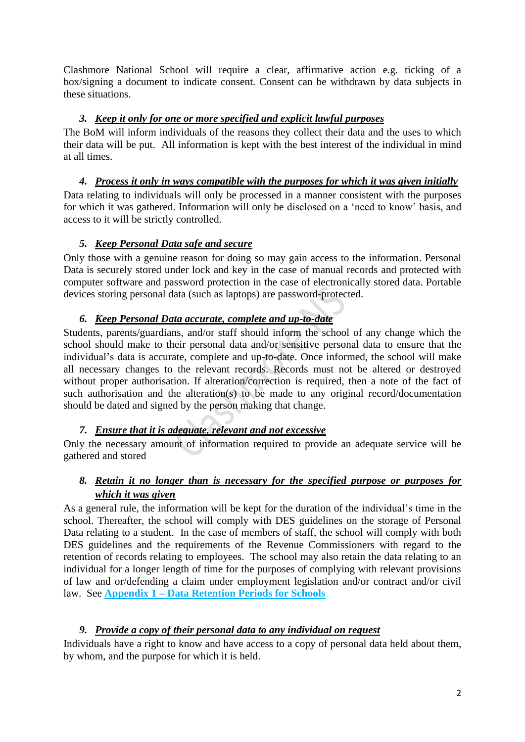Clashmore National School will require a clear, affirmative action e.g. ticking of a box/signing a document to indicate consent. Consent can be withdrawn by data subjects in these situations.

## *3. Keep it only for one or more specified and explicit lawful purposes*

The BoM will inform individuals of the reasons they collect their data and the uses to which their data will be put. All information is kept with the best interest of the individual in mind at all times.

# *4. Process it only in ways compatible with the purposes for which it was given initially*

Data relating to individuals will only be processed in a manner consistent with the purposes for which it was gathered. Information will only be disclosed on a 'need to know' basis, and access to it will be strictly controlled.

# *5. Keep Personal Data safe and secure*

Only those with a genuine reason for doing so may gain access to the information. Personal Data is securely stored under lock and key in the case of manual records and protected with computer software and password protection in the case of electronically stored data. Portable devices storing personal data (such as laptops) are password-protected.

# *6. Keep Personal Data accurate, complete and up-to-date*

Students, parents/guardians, and/or staff should inform the school of any change which the school should make to their personal data and/or sensitive personal data to ensure that the individual's data is accurate, complete and up-to-date. Once informed, the school will make all necessary changes to the relevant records. Records must not be altered or destroyed without proper authorisation. If alteration/correction is required, then a note of the fact of such authorisation and the alteration(s) to be made to any original record/documentation should be dated and signed by the person making that change.

# *7. Ensure that it is adequate, relevant and not excessive*

Only the necessary amount of information required to provide an adequate service will be gathered and stored

# *8. Retain it no longer than is necessary for the specified purpose or purposes for which it was given*

As a general rule, the information will be kept for the duration of the individual's time in the school. Thereafter, the school will comply with DES guidelines on the storage of Personal Data relating to a student. In the case of members of staff, the school will comply with both DES guidelines and the requirements of the Revenue Commissioners with regard to the retention of records relating to employees. The school may also retain the data relating to an individual for a longer length of time for the purposes of complying with relevant provisions of law and or/defending a claim under employment legislation and/or contract and/or civil law. See **Appendix 1 – Data Retention Periods for Schools**

# *9. Provide a copy of their personal data to any individual on request*

Individuals have a right to know and have access to a copy of personal data held about them, by whom, and the purpose for which it is held.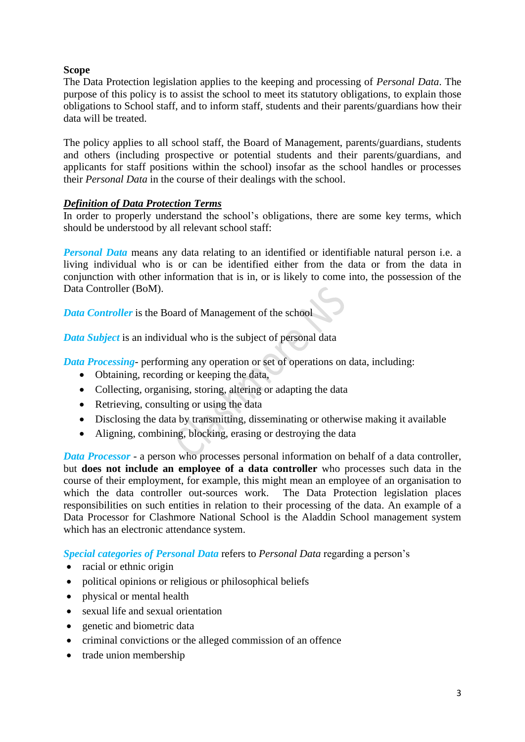### **Scope**

The Data Protection legislation applies to the keeping and processing of *Personal Data*. The purpose of this policy is to assist the school to meet its statutory obligations, to explain those obligations to School staff, and to inform staff, students and their parents/guardians how their data will be treated.

The policy applies to all school staff, the Board of Management, parents/guardians, students and others (including prospective or potential students and their parents/guardians, and applicants for staff positions within the school) insofar as the school handles or processes their *Personal Data* in the course of their dealings with the school.

### *Definition of Data Protection Terms*

In order to properly understand the school's obligations, there are some key terms, which should be understood by all relevant school staff:

*Personal Data* means any data relating to an identified or identifiable natural person i.e. a living individual who is or can be identified either from the data or from the data in conjunction with other information that is in, or is likely to come into, the possession of the Data Controller (BoM).

*Data Controller* is the Board of Management of the school

*Data Subject* is an individual who is the subject of personal data

*Data Processing*- performing any operation or set of operations on data, including:

- Obtaining, recording or keeping the data,
- Collecting, organising, storing, altering or adapting the data
- Retrieving, consulting or using the data
- Disclosing the data by transmitting, disseminating or otherwise making it available
- Aligning, combining, blocking, erasing or destroying the data

*Data Processor* - a person who processes personal information on behalf of a data controller, but **does not include an employee of a data controller** who processes such data in the course of their employment, for example, this might mean an employee of an organisation to which the data controller out-sources work. The Data Protection legislation places responsibilities on such entities in relation to their processing of the data. An example of a Data Processor for Clashmore National School is the Aladdin School management system which has an electronic attendance system.

*Special categories of Personal Data* refers to *Personal Data* regarding a person's

- racial or ethnic origin
- political opinions or religious or philosophical beliefs
- physical or mental health
- sexual life and sexual orientation
- genetic and biometric data
- criminal convictions or the alleged commission of an offence
- trade union membership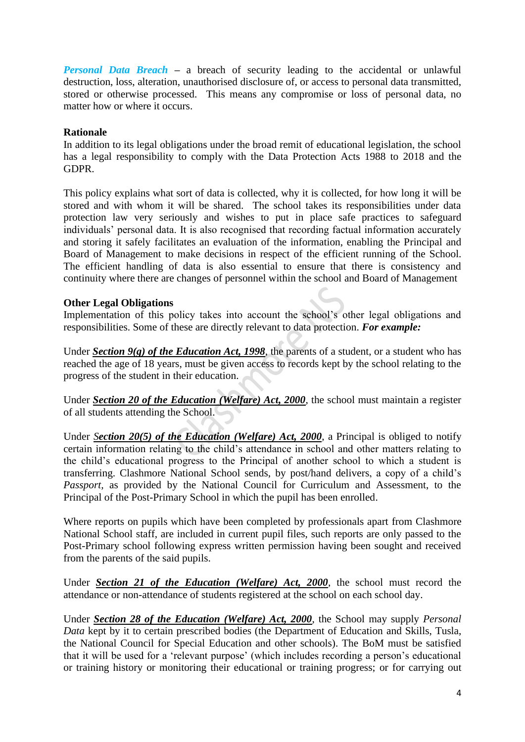*Personal Data Breach –* a breach of security leading to the accidental or unlawful destruction, loss, alteration, unauthorised disclosure of, or access to personal data transmitted, stored or otherwise processed. This means any compromise or loss of personal data, no matter how or where it occurs.

#### **Rationale**

In addition to its legal obligations under the broad remit of educational legislation, the school has a legal responsibility to comply with the Data Protection Acts 1988 to 2018 and the GDPR.

This policy explains what sort of data is collected, why it is collected, for how long it will be stored and with whom it will be shared. The school takes its responsibilities under data protection law very seriously and wishes to put in place safe practices to safeguard individuals' personal data. It is also recognised that recording factual information accurately and storing it safely facilitates an evaluation of the information, enabling the Principal and Board of Management to make decisions in respect of the efficient running of the School. The efficient handling of data is also essential to ensure that there is consistency and continuity where there are changes of personnel within the school and Board of Management

#### **Other Legal Obligations**

Implementation of this policy takes into account the school's other legal obligations and responsibilities. Some of these are directly relevant to data protection. *For example:*

Under *Section 9(g) of the [Education Act, 1998](http://acts2.oireachtas.ie/zza51y1998.1.html)*, the parents of a student, or a student who has reached the age of 18 years, must be given access to records kept by the school relating to the progress of the student in their education.

Under *Section 20 of the [Education \(Welfare\) Act, 2000](http://www.oireachtas.ie/documents/bills28/acts/2000/a2200.pdf)*, the school must maintain a register of all students attending the School.

Under *Section 20(5) of the Education (Welfare) Act, 2000*, a Principal is obliged to notify certain information relating to the child's attendance in school and other matters relating to the child's educational progress to the Principal of another school to which a student is transferring. Clashmore National School sends, by post/hand delivers, a copy of a child's *Passport,* as provided by the National Council for Curriculum and Assessment, to the Principal of the Post-Primary School in which the pupil has been enrolled.

Where reports on pupils which have been completed by professionals apart from Clashmore National School staff, are included in current pupil files, such reports are only passed to the Post-Primary school following express written permission having been sought and received from the parents of the said pupils.

Under *Section 21 of the [Education \(Welfare\) Act, 2000](http://www.oireachtas.ie/documents/bills28/acts/2000/a2200.pdf)*, the school must record the attendance or non-attendance of students registered at the school on each school day.

Under *Section 28 of the [Education \(Welfare\) Act, 2000](http://www.oireachtas.ie/documents/bills28/acts/2000/a2200.pdf)*, the School may supply *Personal Data* kept by it to certain prescribed bodies (the Department of Education and Skills, Tusla, the National Council for Special Education and other schools). The BoM must be satisfied that it will be used for a 'relevant purpose' (which includes recording a person's educational or training history or monitoring their educational or training progress; or for carrying out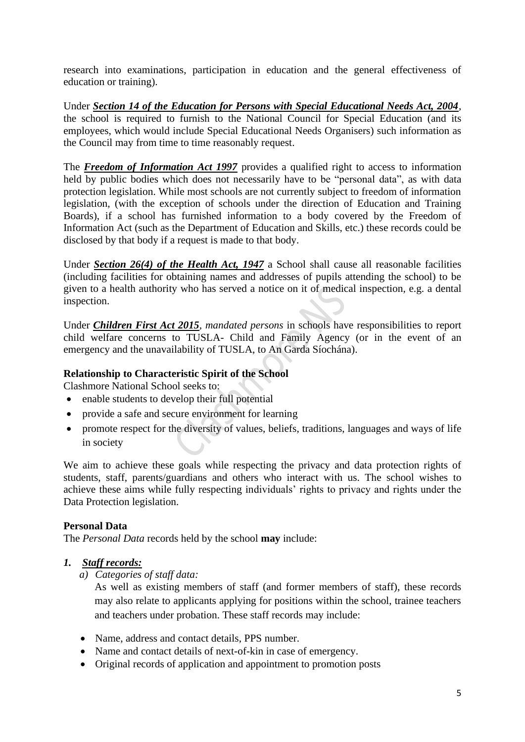research into examinations, participation in education and the general effectiveness of education or training).

Under *Section 14 of the Education for Persons with Special Educational Needs Act, 2004*, the school is required to furnish to the National Council for Special Education (and its employees, which would include Special Educational Needs Organisers) such information as the Council may from time to time reasonably request.

The *Freedom of Information Act 1997* provides a qualified right to access to information held by public bodies which does not necessarily have to be "personal data", as with data protection legislation. While most schools are not currently subject to freedom of information legislation, (with the exception of schools under the direction of Education and Training Boards), if a school has furnished information to a body covered by the Freedom of Information Act (such as the Department of Education and Skills, etc.) these records could be disclosed by that body if a request is made to that body.

Under *Section 26(4) of the Health Act, 1947* a School shall cause all reasonable facilities (including facilities for obtaining names and addresses of pupils attending the school) to be given to a health authority who has served a notice on it of medical inspection, e.g. a dental inspection.

Under *Children First Act 2015, mandated persons* in schools have responsibilities to report child welfare concerns to TUSLA- Child and Family Agency (or in the event of an emergency and the unavailability of TUSLA, to An Garda Síochána).

### **Relationship to Characteristic Spirit of the School**

Clashmore National School seeks to:

- enable students to develop their full potential
- provide a safe and secure environment for learning
- promote respect for the diversity of values, beliefs, traditions, languages and ways of life in society

We aim to achieve these goals while respecting the privacy and data protection rights of students, staff, parents/guardians and others who interact with us. The school wishes to achieve these aims while fully respecting individuals' rights to privacy and rights under the Data Protection legislation.

### **Personal Data**

The *Personal Data* records held by the school **may** include:

### *1. Staff records:*

*a) Categories of staff data:*

As well as existing members of staff (and former members of staff), these records may also relate to applicants applying for positions within the school, trainee teachers and teachers under probation. These staff records may include:

- Name, address and contact details, PPS number.
- Name and contact details of next-of-kin in case of emergency.
- Original records of application and appointment to promotion posts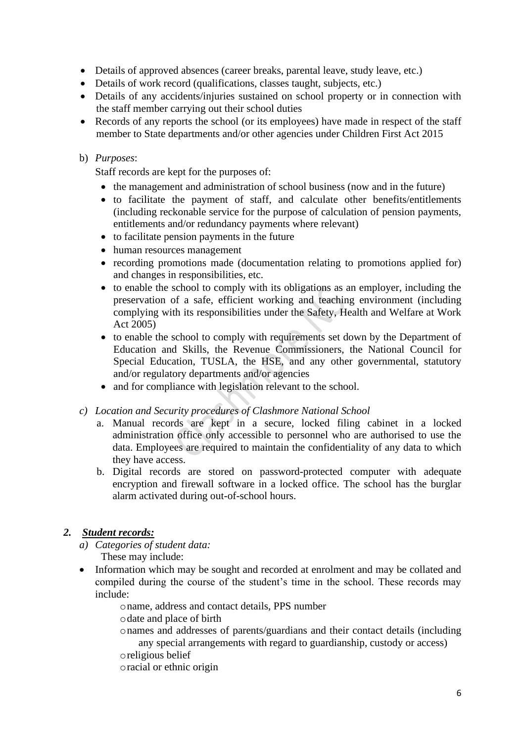- Details of approved absences (career breaks, parental leave, study leave, etc.)
- Details of work record (qualifications, classes taught, subjects, etc.)
- Details of any accidents/injuries sustained on school property or in connection with the staff member carrying out their school duties
- Records of any reports the school (or its employees) have made in respect of the staff member to State departments and/or other agencies under Children First Act 2015

## b) *Purposes*:

Staff records are kept for the purposes of:

- the management and administration of school business (now and in the future)
- to facilitate the payment of staff, and calculate other benefits/entitlements (including reckonable service for the purpose of calculation of pension payments, entitlements and/or redundancy payments where relevant)
- to facilitate pension payments in the future
- human resources management
- recording promotions made (documentation relating to promotions applied for) and changes in responsibilities, etc.
- to enable the school to comply with its obligations as an employer, including the preservation of a safe, efficient working and teaching environment (including complying with its responsibilities under the Safety, Health and Welfare at Work Act 2005)
- to enable the school to comply with requirements set down by the Department of Education and Skills, the Revenue Commissioners, the National Council for Special Education, TUSLA, the HSE, and any other governmental, statutory and/or regulatory departments and/or agencies
- and for compliance with legislation relevant to the school.
- *c) Location and Security procedures of Clashmore National School*
	- a. Manual records are kept in a secure, locked filing cabinet in a locked administration office only accessible to personnel who are authorised to use the data. Employees are required to maintain the confidentiality of any data to which they have access.
	- b. Digital records are stored on password-protected computer with adequate encryption and firewall software in a locked office. The school has the burglar alarm activated during out-of-school hours.

## *2. Student records:*

- *a) Categories of student data:*  These may include:
- Information which may be sought and recorded at enrolment and may be collated and compiled during the course of the student's time in the school. These records may include:
	- oname, address and contact details, PPS number
	- odate and place of birth
	- onames and addresses of parents/guardians and their contact details (including any special arrangements with regard to guardianship, custody or access)
	- oreligious belief
	- oracial or ethnic origin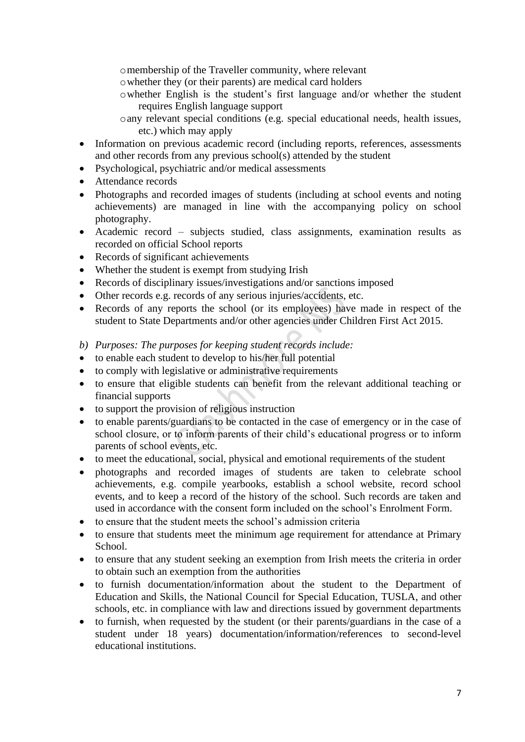omembership of the Traveller community, where relevant

- owhether they (or their parents) are medical card holders
- owhether English is the student's first language and/or whether the student requires English language support
- oany relevant special conditions (e.g. special educational needs, health issues, etc.) which may apply
- Information on previous academic record (including reports, references, assessments and other records from any previous school(s) attended by the student
- Psychological, psychiatric and/or medical assessments
- Attendance records
- Photographs and recorded images of students (including at school events and noting achievements) are managed in line with the accompanying policy on school photography.
- Academic record subjects studied, class assignments, examination results as recorded on official School reports
- Records of significant achievements
- Whether the student is exempt from studying Irish
- Records of disciplinary issues/investigations and/or sanctions imposed
- Other records e.g. records of any serious injuries/accidents, etc.
- Records of any reports the school (or its employees) have made in respect of the student to State Departments and/or other agencies under Children First Act 2015.
- *b) Purposes: The purposes for keeping student records include:*
- to enable each student to develop to his/her full potential
- to comply with legislative or administrative requirements
- to ensure that eligible students can benefit from the relevant additional teaching or financial supports
- to support the provision of religious instruction
- to enable parents/guardians to be contacted in the case of emergency or in the case of school closure, or to inform parents of their child's educational progress or to inform parents of school events, etc.
- to meet the educational, social, physical and emotional requirements of the student
- photographs and recorded images of students are taken to celebrate school achievements, e.g. compile yearbooks, establish a school website, record school events, and to keep a record of the history of the school. Such records are taken and used in accordance with the consent form included on the school's Enrolment Form.
- to ensure that the student meets the school's admission criteria
- to ensure that students meet the minimum age requirement for attendance at Primary School.
- to ensure that any student seeking an exemption from Irish meets the criteria in order to obtain such an exemption from the authorities
- to furnish documentation/information about the student to the Department of Education and Skills, the National Council for Special Education, TUSLA, and other schools, etc. in compliance with law and directions issued by government departments
- to furnish, when requested by the student (or their parents/guardians in the case of a student under 18 years) documentation/information/references to second-level educational institutions.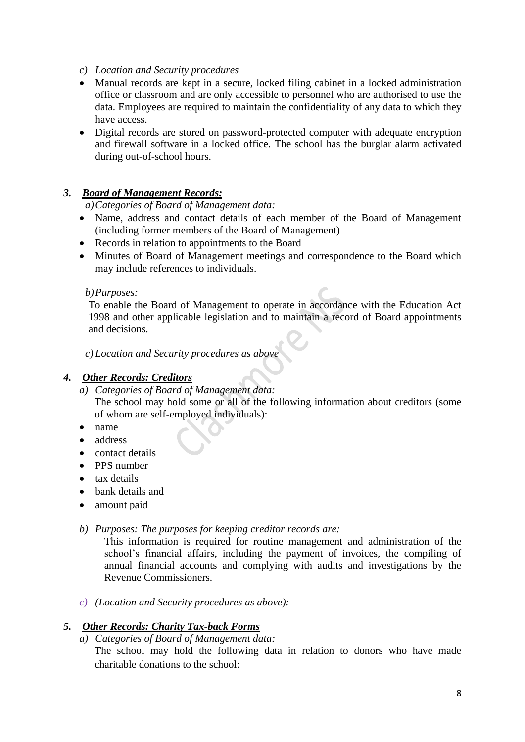- *c) Location and Security procedures*
- Manual records are kept in a secure, locked filing cabinet in a locked administration office or classroom and are only accessible to personnel who are authorised to use the data. Employees are required to maintain the confidentiality of any data to which they have access.
- Digital records are stored on password-protected computer with adequate encryption and firewall software in a locked office. The school has the burglar alarm activated during out-of-school hours.

### *3. Board of Management Records:*

#### *a)Categories of Board of Management data:*

- Name, address and contact details of each member of the Board of Management (including former members of the Board of Management)
- Records in relation to appointments to the Board
- Minutes of Board of Management meetings and correspondence to the Board which may include references to individuals.

#### *b)Purposes:*

To enable the Board of Management to operate in accordance with the Education Act 1998 and other applicable legislation and to maintain a record of Board appointments and decisions.

*c) Location and Security procedures as above*

### *4. Other Records: Creditors*

*a) Categories of Board of Management data:*

The school may hold some or all of the following information about creditors (some of whom are self-employed individuals):

- name
- address
- contact details
- PPS number
- tax details
- bank details and
- amount paid
- *b) Purposes: The purposes for keeping creditor records are:*

This information is required for routine management and administration of the school's financial affairs, including the payment of invoices, the compiling of annual financial accounts and complying with audits and investigations by the Revenue Commissioners.

*c) (Location and Security procedures as above):* 

### *5. Other Records: Charity Tax-back Forms*

*a) Categories of Board of Management data:*

The school may hold the following data in relation to donors who have made charitable donations to the school: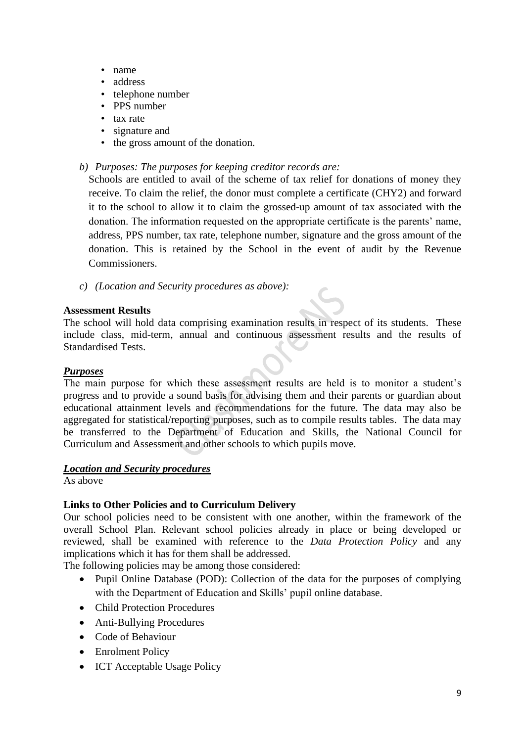- name
- address
- telephone number
- PPS number
- tax rate
- signature and
- the gross amount of the donation.

#### *b) Purposes: The purposes for keeping creditor records are:*

Schools are entitled to avail of the scheme of tax relief for donations of money they receive. To claim the relief, the donor must complete a certificate (CHY2) and forward it to the school to allow it to claim the grossed-up amount of tax associated with the donation. The information requested on the appropriate certificate is the parents' name, address, PPS number, tax rate, telephone number, signature and the gross amount of the donation. This is retained by the School in the event of audit by the Revenue Commissioners.

*c) (Location and Security procedures as above):* 

#### **Assessment Results**

The school will hold data comprising examination results in respect of its students. These include class, mid-term, annual and continuous assessment results and the results of Standardised Tests.

#### *Purposes*

The main purpose for which these assessment results are held is to monitor a student's progress and to provide a sound basis for advising them and their parents or guardian about educational attainment levels and recommendations for the future. The data may also be aggregated for statistical/reporting purposes, such as to compile results tables. The data may be transferred to the Department of Education and Skills, the National Council for Curriculum and Assessment and other schools to which pupils move.

#### *Location and Security procedures*

As above

### **Links to Other Policies and to Curriculum Delivery**

Our school policies need to be consistent with one another, within the framework of the overall School Plan. Relevant school policies already in place or being developed or reviewed, shall be examined with reference to the *Data Protection Policy* and any implications which it has for them shall be addressed.

The following policies may be among those considered:

- Pupil Online Database (POD): Collection of the data for the purposes of complying with the Department of Education and Skills' pupil online database.
- Child Protection Procedures
- Anti-Bullying Procedures
- Code of Behaviour
- Enrolment Policy
- ICT Acceptable Usage Policy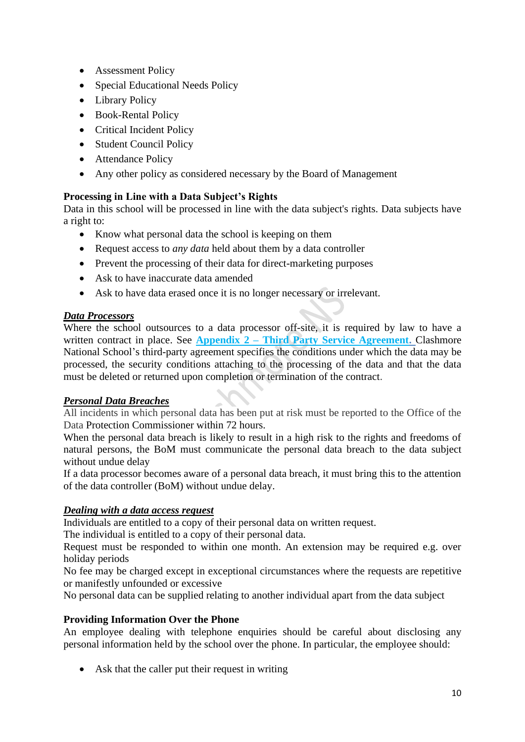- Assessment Policy
- Special Educational Needs Policy
- Library Policy
- Book-Rental Policy
- Critical Incident Policy
- Student Council Policy
- Attendance Policy
- Any other policy as considered necessary by the Board of Management

## **Processing in Line with a Data Subject's Rights**

Data in this school will be processed in line with the data subject's rights. Data subjects have a right to:

- Know what personal data the school is keeping on them
- Request access to *any data* held about them by a data controller
- Prevent the processing of their data for direct-marketing purposes
- Ask to have inaccurate data amended
- Ask to have data erased once it is no longer necessary or irrelevant.

### *Data Processors*

Where the school outsources to a data processor off-site, it is required by law to have a written contract in place. See **Appendix 2 – Third Party Service Agreement.** Clashmore National School's third-party agreement specifies the conditions under which the data may be processed, the security conditions attaching to the processing of the data and that the data must be deleted or returned upon completion or termination of the contract.

### *Personal Data Breaches*

All incidents in which personal data has been put at risk must be reported to the Office of the Data Protection Commissioner within 72 hours.

When the personal data breach is likely to result in a high risk to the rights and freedoms of natural persons, the BoM must communicate the personal data breach to the data subject without undue delay

If a data processor becomes aware of a personal data breach, it must bring this to the attention of the data controller (BoM) without undue delay.

### *Dealing with a data access request*

Individuals are entitled to a copy of their personal data on written request.

The individual is entitled to a copy of their personal data.

Request must be responded to within one month. An extension may be required e.g. over holiday periods

No fee may be charged except in exceptional circumstances where the requests are repetitive or manifestly unfounded or excessive

No personal data can be supplied relating to another individual apart from the data subject

## **Providing Information Over the Phone**

An employee dealing with telephone enquiries should be careful about disclosing any personal information held by the school over the phone. In particular, the employee should:

• Ask that the caller put their request in writing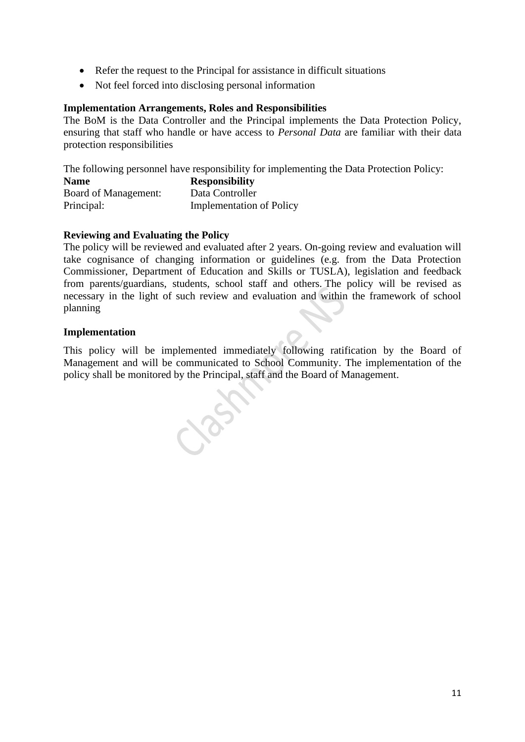- Refer the request to the Principal for assistance in difficult situations
- Not feel forced into disclosing personal information

## **Implementation Arrangements, Roles and Responsibilities**

The BoM is the Data Controller and the Principal implements the Data Protection Policy, ensuring that staff who handle or have access to *Personal Data* are familiar with their data protection responsibilities

The following personnel have responsibility for implementing the Data Protection Policy:

| <b>Name</b>          | <b>Responsibility</b>           |  |  |
|----------------------|---------------------------------|--|--|
| Board of Management: | Data Controller                 |  |  |
| Principal:           | <b>Implementation of Policy</b> |  |  |

## **Reviewing and Evaluating the Policy**

The policy will be reviewed and evaluated after 2 years. On-going review and evaluation will take cognisance of changing information or guidelines (e.g. from the Data Protection Commissioner, Department of Education and Skills or TUSLA), legislation and feedback from parents/guardians, students, school staff and others. The policy will be revised as necessary in the light of such review and evaluation and within the framework of school planning

### **Implementation**

This policy will be implemented immediately following ratification by the Board of Management and will be communicated to School Community. The implementation of the policy shall be monitored by the Principal, staff and the Board of Management.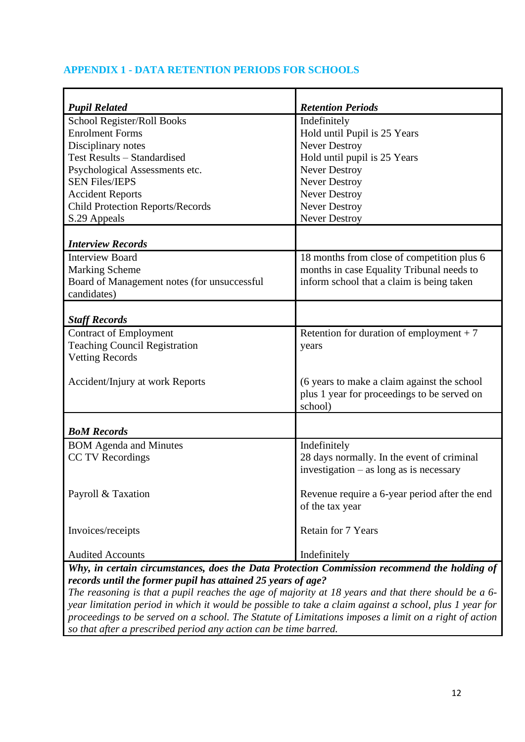## **APPENDIX 1 - DATA RETENTION PERIODS FOR SCHOOLS**

| <b>Pupil Related</b>                                                                        | <b>Retention Periods</b>                      |
|---------------------------------------------------------------------------------------------|-----------------------------------------------|
| School Register/Roll Books                                                                  | Indefinitely                                  |
| <b>Enrolment Forms</b>                                                                      | Hold until Pupil is 25 Years                  |
| Disciplinary notes                                                                          | <b>Never Destroy</b>                          |
| Test Results - Standardised                                                                 | Hold until pupil is 25 Years                  |
| Psychological Assessments etc.                                                              | <b>Never Destroy</b>                          |
| <b>SEN Files/IEPS</b>                                                                       | <b>Never Destroy</b>                          |
| <b>Accident Reports</b>                                                                     | <b>Never Destroy</b>                          |
| <b>Child Protection Reports/Records</b>                                                     | Never Destroy                                 |
| S.29 Appeals                                                                                | Never Destroy                                 |
| <b>Interview Records</b>                                                                    |                                               |
| <b>Interview Board</b>                                                                      | 18 months from close of competition plus 6    |
| <b>Marking Scheme</b>                                                                       | months in case Equality Tribunal needs to     |
| Board of Management notes (for unsuccessful                                                 | inform school that a claim is being taken     |
| candidates)                                                                                 |                                               |
|                                                                                             |                                               |
| <b>Staff Records</b>                                                                        |                                               |
| <b>Contract of Employment</b>                                                               | Retention for duration of employment $+7$     |
| <b>Teaching Council Registration</b>                                                        | years                                         |
| <b>Vetting Records</b>                                                                      |                                               |
|                                                                                             |                                               |
| Accident/Injury at work Reports                                                             | (6 years to make a claim against the school   |
|                                                                                             | plus 1 year for proceedings to be served on   |
|                                                                                             | school)                                       |
|                                                                                             |                                               |
| <b>BoM Records</b>                                                                          |                                               |
| <b>BOM</b> Agenda and Minutes                                                               | Indefinitely                                  |
| CC TV Recordings                                                                            | 28 days normally. In the event of criminal    |
|                                                                                             | investigation $-$ as long as is necessary     |
|                                                                                             |                                               |
| Payroll & Taxation                                                                          | Revenue require a 6-year period after the end |
|                                                                                             | of the tax year                               |
| Invoices/receipts                                                                           | Retain for 7 Years                            |
|                                                                                             |                                               |
| <b>Audited Accounts</b>                                                                     | Indefinitely                                  |
| Why, in certain circumstances, does the Data Protection Commission recommend the holding of |                                               |

*Why, in certain circumstances, does the Data Protection Commission recommend the holding of records until the former pupil has attained 25 years of age?* 

*The reasoning is that a pupil reaches the age of majority at 18 years and that there should be a 6 year limitation period in which it would be possible to take a claim against a school, plus 1 year for proceedings to be served on a school. The Statute of Limitations imposes a limit on a right of action so that after a prescribed period any action can be time barred.*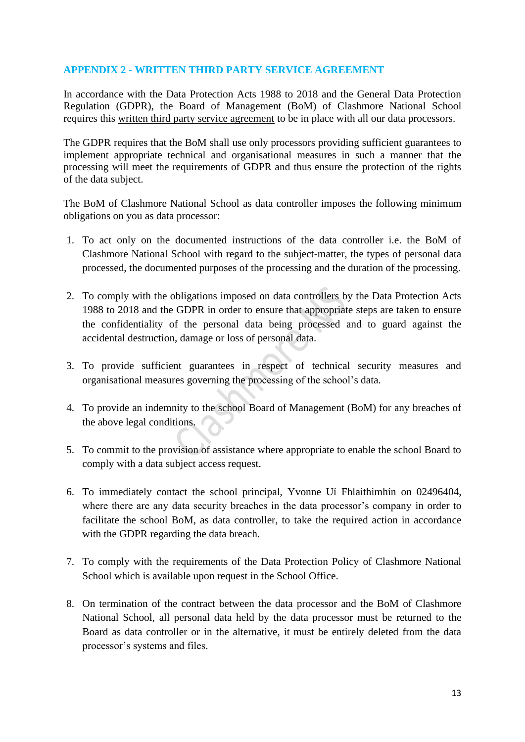## **APPENDIX 2 - WRITTEN THIRD PARTY SERVICE AGREEMENT**

In accordance with the Data Protection Acts 1988 to 2018 and the General Data Protection Regulation (GDPR), the Board of Management (BoM) of Clashmore National School requires this written third party service agreement to be in place with all our data processors.

The GDPR requires that the BoM shall use only processors providing sufficient guarantees to implement appropriate technical and organisational measures in such a manner that the processing will meet the requirements of GDPR and thus ensure the protection of the rights of the data subject.

The BoM of Clashmore National School as data controller imposes the following minimum obligations on you as data processor:

- 1. To act only on the documented instructions of the data controller i.e. the BoM of Clashmore National School with regard to the subject-matter, the types of personal data processed, the documented purposes of the processing and the duration of the processing.
- 2. To comply with the obligations imposed on data controllers by the Data Protection Acts 1988 to 2018 and the GDPR in order to ensure that appropriate steps are taken to ensure the confidentiality of the personal data being processed and to guard against the accidental destruction, damage or loss of personal data.
- 3. To provide sufficient guarantees in respect of technical security measures and organisational measures governing the processing of the school's data.
- 4. To provide an indemnity to the school Board of Management (BoM) for any breaches of the above legal conditions.
- 5. To commit to the provision of assistance where appropriate to enable the school Board to comply with a data subject access request.
- 6. To immediately contact the school principal, Yvonne Uí Fhlaithimhín on 02496404, where there are any data security breaches in the data processor's company in order to facilitate the school BoM, as data controller, to take the required action in accordance with the GDPR regarding the data breach.
- 7. To comply with the requirements of the Data Protection Policy of Clashmore National School which is available upon request in the School Office.
- 8. On termination of the contract between the data processor and the BoM of Clashmore National School, all personal data held by the data processor must be returned to the Board as data controller or in the alternative, it must be entirely deleted from the data processor's systems and files.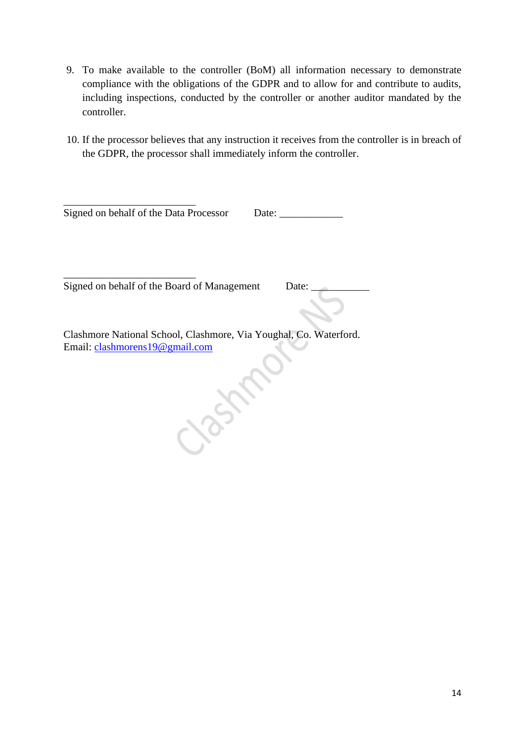- 9. To make available to the controller (BoM) all information necessary to demonstrate compliance with the obligations of the GDPR and to allow for and contribute to audits, including inspections, conducted by the controller or another auditor mandated by the controller.
- 10. If the processor believes that any instruction it receives from the controller is in breach of the GDPR, the processor shall immediately inform the controller.

| Signed on behalf of the Data Processor | Date: |
|----------------------------------------|-------|

Signed on behalf of the Board of Management Date:

\_\_\_\_\_\_\_\_\_\_\_\_\_\_\_\_\_\_\_\_\_\_\_\_\_

Clashmore National School, Clashmore, Via Youghal, Co. Waterford. Email: [clashmorens19@gmail.com](mailto:clashmorens19@gmail.com)

185th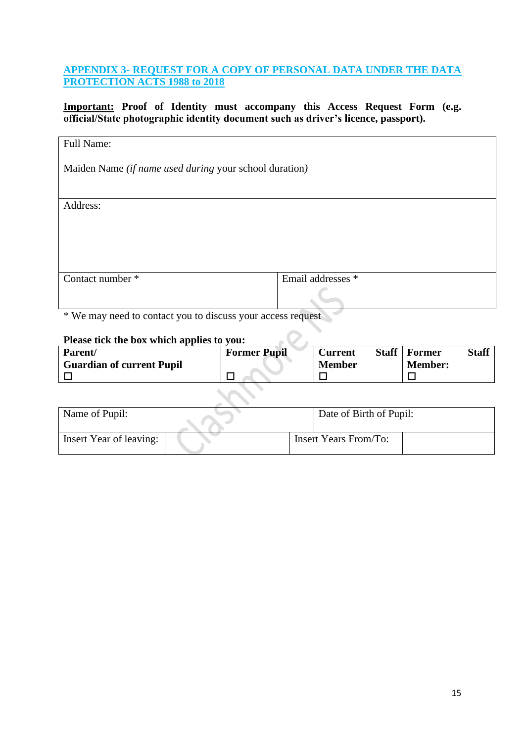## **APPENDIX 3- REQUEST FOR A COPY OF PERSONAL DATA UNDER THE DATA PROTECTION ACTS 1988 to 2018**

**Important: Proof of Identity must accompany this Access Request Form (e.g. official/State photographic identity document such as driver's licence, passport).**

| Full Name:                                             |                   |  |
|--------------------------------------------------------|-------------------|--|
| Maiden Name (if name used during your school duration) |                   |  |
|                                                        |                   |  |
| Address:                                               |                   |  |
|                                                        |                   |  |
|                                                        |                   |  |
|                                                        |                   |  |
| Contact number *                                       | Email addresses * |  |
|                                                        |                   |  |

\* We may need to contact you to discuss your access request

### **Please tick the box which applies to you:**

| Parent/                          | <b>Former Pupil</b> | <b>Staff</b><br><b>Current</b> | Staff<br>  Former |
|----------------------------------|---------------------|--------------------------------|-------------------|
| <b>Guardian of current Pupil</b> |                     | <b>Member</b>                  | <b>Member:</b>    |
|                                  |                     |                                |                   |

 $\mathcal{L}_{\mathcal{A}}$ 

 $\overline{O}$ .

| Name of Pupil:          |  | Date of Birth of Pupil:      |  |
|-------------------------|--|------------------------------|--|
| Insert Year of leaving: |  | <b>Insert Years From/To:</b> |  |